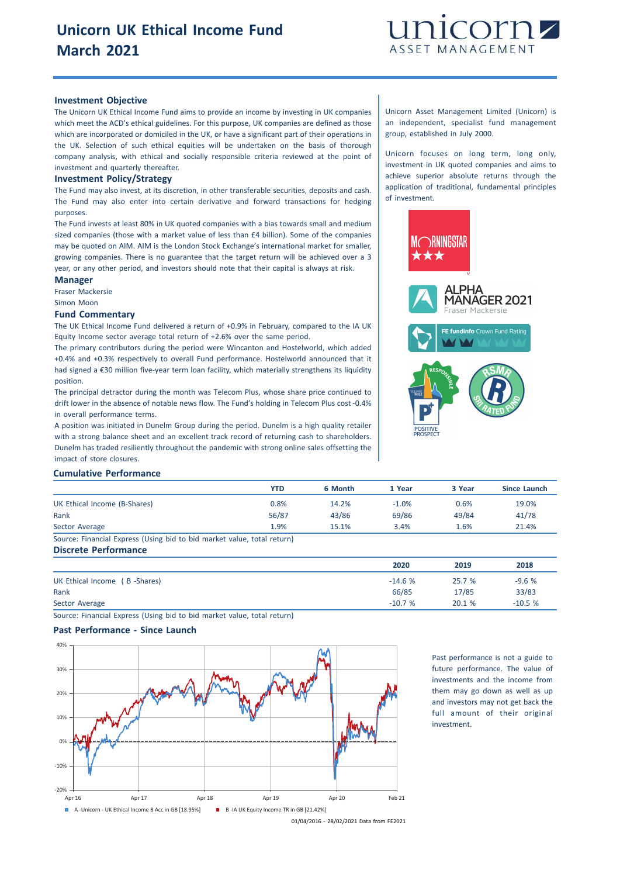

#### **Investment Objective**

The Unicorn UK Ethical Income Fund aims to provide an income by investing in UK companies which meet the ACD's ethical guidelines. For this purpose, UK companies are defined as those which are incorporated or domiciled in the UK, or have a significant part of their operations in the UK. Selection of such ethical equities will be undertaken on the basis of thorough company analysis, with ethical and socially responsible criteria reviewed at the point of investment and quarterly thereafter.

#### **Investment Policy/Strategy**

The Fund may also invest, at its discretion, in other transferable securities, deposits and cash. The Fund may also enter into certain derivative and forward transactions for hedging purposes.

The Fund invests at least 80% in UK quoted companies with a bias towards small and medium sized companies (those with a market value of less than £4 billion). Some of the companies may be quoted on AIM. AIM is the London Stock Exchange's international market for smaller, growing companies. There is no guarantee that the target return will be achieved over a 3 year, or any other period, and investors should note that their capital is always at risk.

#### **Manager**

Fraser Mackersie

Simon Moon

#### **Fund Commentary**

The UK Ethical Income Fund delivered a return of +0.9% in February, compared to the IA UK Equity Income sector average total return of +2.6% over the same period.

The primary contributors during the period were Wincanton and Hostelworld, which added +0.4% and +0.3% respectively to overall Fund performance. Hostelworld announced that it had signed a €30 million five-year term loan facility, which materially strengthens its liquidity position.

The principal detractor during the month was Telecom Plus, whose share price continued to drift lower in the absence of notable news flow. The Fund's holding in Telecom Plus cost -0.4% in overall performance terms.

A position was initiated in Dunelm Group during the period. Dunelm is a high quality retailer with a strong balance sheet and an excellent track record of returning cash to shareholders. Dunelm has traded resiliently throughout the pandemic with strong online sales offsetting the impact of store closures.

Unicorn Asset Management Limited (Unicorn) is an independent, specialist fund management group, established in July 2000.

Unicorn focuses on long term, long only, investment in UK quoted companies and aims to achieve superior absolute returns through the application of traditional, fundamental principles of investment.



### **Cumulative Performance**

|                                                                         | YTD   | 6 Month | 1 Year  | 3 Year | Since Launch |
|-------------------------------------------------------------------------|-------|---------|---------|--------|--------------|
| UK Ethical Income (B-Shares)                                            | 0.8%  | 14.2%   | $-1.0%$ | 0.6%   | 19.0%        |
| Rank                                                                    | 56/87 | 43/86   | 69/86   | 49/84  | 41/78        |
| Sector Average                                                          | 1.9%  | 15.1%   | 3.4%    | 1.6%   | 21.4%        |
| Source: Financial Express (Using bid to bid market value, total return) |       |         |         |        |              |

## **Discrete Performance**

|                              | 2020     | 2019   | 2018     |
|------------------------------|----------|--------|----------|
| UK Ethical Income (B-Shares) | $-14.6%$ | 25.7 % | $-9.6%$  |
| Rank                         | 66/85    | 17/85  | 33/83    |
| Sector Average               | $-10.7%$ | 20.1%  | $-10.5%$ |

Source: Financial Express (Using bid to bid market value, total return)

# **Past Performance - Since Launch**



Past performance is not a guide to future performance. The value of investments and the income from them may go down as well as up and investors may not get back the full amount of their original investment.

01/04/2016 - 28/02/2021 Data from FE2021